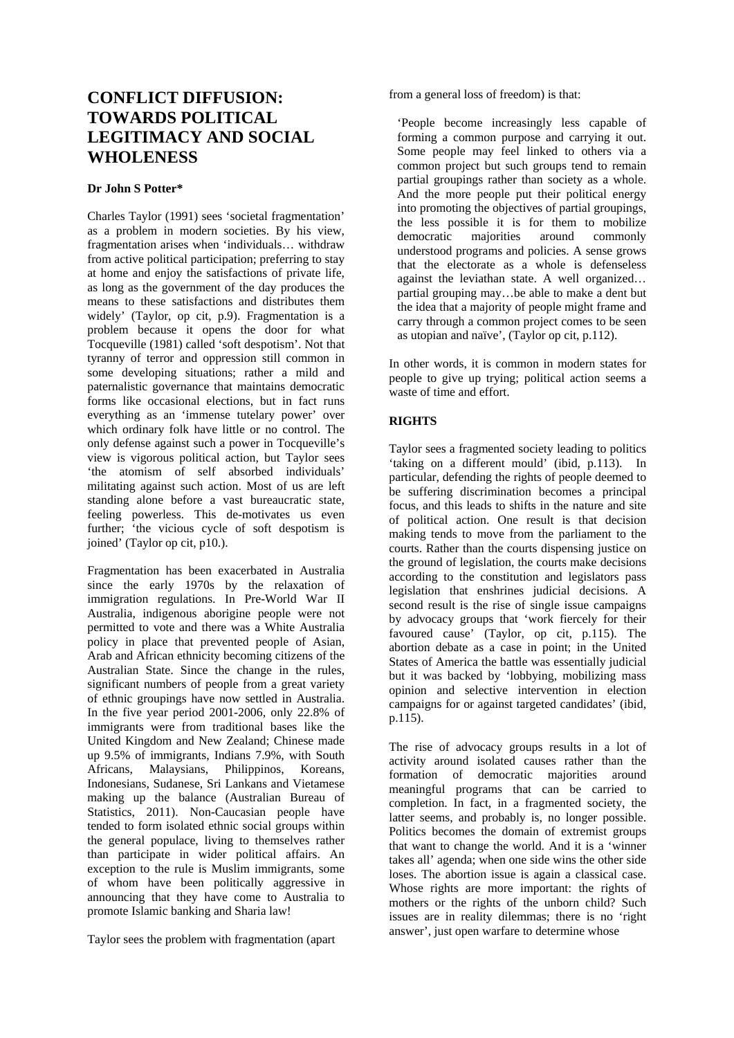# **CONFLICT DIFFUSION: TOWARDS POLITICAL LEGITIMACY AND SOCIAL WHOLENESS**

#### **Dr John S Potter\***

Charles Taylor (1991) sees 'societal fragmentation' as a problem in modern societies. By his view, fragmentation arises when 'individuals… withdraw from active political participation; preferring to stay at home and enjoy the satisfactions of private life, as long as the government of the day produces the means to these satisfactions and distributes them widely' (Taylor, op cit, p.9). Fragmentation is a problem because it opens the door for what Tocqueville (1981) called 'soft despotism'. Not that tyranny of terror and oppression still common in some developing situations; rather a mild and paternalistic governance that maintains democratic forms like occasional elections, but in fact runs everything as an 'immense tutelary power' over which ordinary folk have little or no control. The only defense against such a power in Tocqueville's view is vigorous political action, but Taylor sees 'the atomism of self absorbed individuals' militating against such action. Most of us are left standing alone before a vast bureaucratic state, feeling powerless. This de-motivates us even further; 'the vicious cycle of soft despotism is joined' (Taylor op cit, p10.).

Fragmentation has been exacerbated in Australia since the early 1970s by the relaxation of immigration regulations. In Pre-World War II Australia, indigenous aborigine people were not permitted to vote and there was a White Australia policy in place that prevented people of Asian, Arab and African ethnicity becoming citizens of the Australian State. Since the change in the rules, significant numbers of people from a great variety of ethnic groupings have now settled in Australia. In the five year period 2001-2006, only 22.8% of immigrants were from traditional bases like the United Kingdom and New Zealand; Chinese made up 9.5% of immigrants, Indians 7.9%, with South Africans, Malaysians, Philippinos, Koreans, Indonesians, Sudanese, Sri Lankans and Vietamese making up the balance (Australian Bureau of Statistics, 2011). Non-Caucasian people have tended to form isolated ethnic social groups within the general populace, living to themselves rather than participate in wider political affairs. An exception to the rule is Muslim immigrants, some of whom have been politically aggressive in announcing that they have come to Australia to promote Islamic banking and Sharia law!

Taylor sees the problem with fragmentation (apart

from a general loss of freedom) is that:

'People become increasingly less capable of forming a common purpose and carrying it out. Some people may feel linked to others via a common project but such groups tend to remain partial groupings rather than society as a whole. And the more people put their political energy into promoting the objectives of partial groupings, the less possible it is for them to mobilize democratic majorities around commonly understood programs and policies. A sense grows that the electorate as a whole is defenseless against the leviathan state. A well organized… partial grouping may…be able to make a dent but the idea that a majority of people might frame and carry through a common project comes to be seen as utopian and naïve', (Taylor op cit, p.112).

In other words, it is common in modern states for people to give up trying; political action seems a waste of time and effort.

## **RIGHTS**

Taylor sees a fragmented society leading to politics 'taking on a different mould' (ibid, p.113). In particular, defending the rights of people deemed to be suffering discrimination becomes a principal focus, and this leads to shifts in the nature and site of political action. One result is that decision making tends to move from the parliament to the courts. Rather than the courts dispensing justice on the ground of legislation, the courts make decisions according to the constitution and legislators pass legislation that enshrines judicial decisions. A second result is the rise of single issue campaigns by advocacy groups that 'work fiercely for their favoured cause' (Taylor, op cit, p.115). The abortion debate as a case in point; in the United States of America the battle was essentially judicial but it was backed by 'lobbying, mobilizing mass opinion and selective intervention in election campaigns for or against targeted candidates' (ibid, p.115).

The rise of advocacy groups results in a lot of activity around isolated causes rather than the formation of democratic majorities around meaningful programs that can be carried to completion. In fact, in a fragmented society, the latter seems, and probably is, no longer possible. Politics becomes the domain of extremist groups that want to change the world. And it is a 'winner takes all' agenda; when one side wins the other side loses. The abortion issue is again a classical case. Whose rights are more important: the rights of mothers or the rights of the unborn child? Such issues are in reality dilemmas; there is no 'right answer', just open warfare to determine whose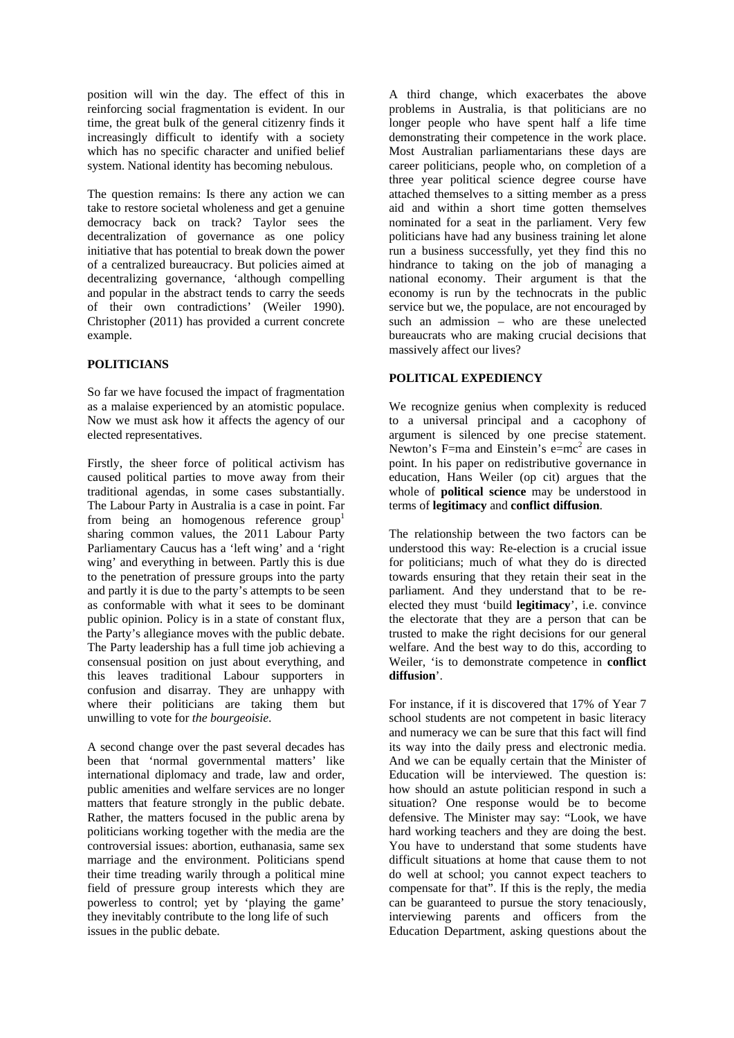position will win the day. The effect of this in reinforcing social fragmentation is evident. In our time, the great bulk of the general citizenry finds it increasingly difficult to identify with a society which has no specific character and unified belief system. National identity has becoming nebulous.

The question remains: Is there any action we can take to restore societal wholeness and get a genuine democracy back on track? Taylor sees the decentralization of governance as one policy initiative that has potential to break down the power of a centralized bureaucracy. But policies aimed at decentralizing governance, 'although compelling and popular in the abstract tends to carry the seeds of their own contradictions' (Weiler 1990). Christopher (2011) has provided a current concrete example.

## **POLITICIANS**

So far we have focused the impact of fragmentation as a malaise experienced by an atomistic populace. Now we must ask how it affects the agency of our elected representatives.

Firstly, the sheer force of political activism has caused political parties to move away from their traditional agendas, in some cases substantially. The Labour Party in Australia is a case in point. Far from being an homogenous reference group<sup>1</sup> sharing common values, the 2011 Labour Party Parliamentary Caucus has a 'left wing' and a 'right wing' and everything in between. Partly this is due to the penetration of pressure groups into the party and partly it is due to the party's attempts to be seen as conformable with what it sees to be dominant public opinion. Policy is in a state of constant flux, the Party's allegiance moves with the public debate. The Party leadership has a full time job achieving a consensual position on just about everything, and this leaves traditional Labour supporters in confusion and disarray. They are unhappy with where their politicians are taking them but unwilling to vote for *the bourgeoisie*.

A second change over the past several decades has been that 'normal governmental matters' like international diplomacy and trade, law and order, public amenities and welfare services are no longer matters that feature strongly in the public debate. Rather, the matters focused in the public arena by politicians working together with the media are the controversial issues: abortion, euthanasia, same sex marriage and the environment. Politicians spend their time treading warily through a political mine field of pressure group interests which they are powerless to control; yet by 'playing the game' they inevitably contribute to the long life of such issues in the public debate.

A third change, which exacerbates the above problems in Australia, is that politicians are no longer people who have spent half a life time demonstrating their competence in the work place. Most Australian parliamentarians these days are career politicians, people who, on completion of a three year political science degree course have attached themselves to a sitting member as a press aid and within a short time gotten themselves nominated for a seat in the parliament. Very few politicians have had any business training let alone run a business successfully, yet they find this no hindrance to taking on the job of managing a national economy. Their argument is that the economy is run by the technocrats in the public service but we, the populace, are not encouraged by such an admission – who are these unelected bureaucrats who are making crucial decisions that massively affect our lives?

## **POLITICAL EXPEDIENCY**

We recognize genius when complexity is reduced to a universal principal and a cacophony of argument is silenced by one precise statement. Newton's F=ma and Einstein's  $e=mc^2$  are cases in point. In his paper on redistributive governance in education, Hans Weiler (op cit) argues that the whole of **political science** may be understood in terms of **legitimacy** and **conflict diffusion**.

The relationship between the two factors can be understood this way: Re-election is a crucial issue for politicians; much of what they do is directed towards ensuring that they retain their seat in the parliament. And they understand that to be reelected they must 'build **legitimacy**', i.e. convince the electorate that they are a person that can be trusted to make the right decisions for our general welfare. And the best way to do this, according to Weiler, 'is to demonstrate competence in **conflict diffusion**'.

For instance, if it is discovered that 17% of Year 7 school students are not competent in basic literacy and numeracy we can be sure that this fact will find its way into the daily press and electronic media. And we can be equally certain that the Minister of Education will be interviewed. The question is: how should an astute politician respond in such a situation? One response would be to become defensive. The Minister may say: "Look, we have hard working teachers and they are doing the best. You have to understand that some students have difficult situations at home that cause them to not do well at school; you cannot expect teachers to compensate for that". If this is the reply, the media can be guaranteed to pursue the story tenaciously, interviewing parents and officers from the Education Department, asking questions about the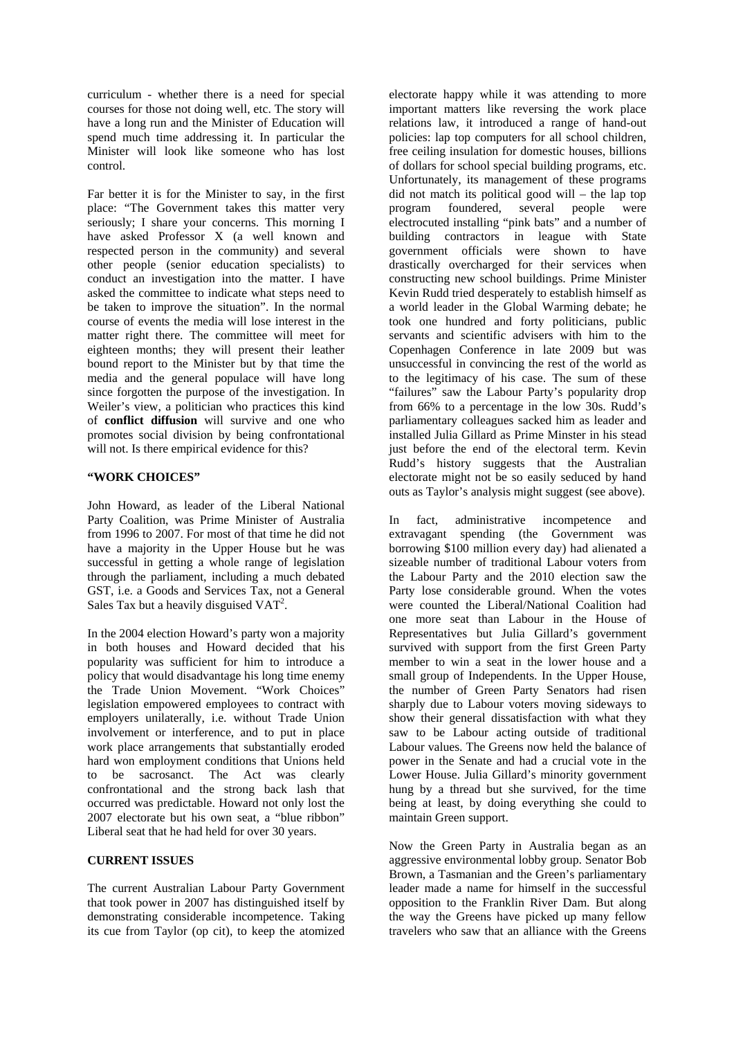curriculum - whether there is a need for special courses for those not doing well, etc. The story will have a long run and the Minister of Education will spend much time addressing it. In particular the Minister will look like someone who has lost control.

Far better it is for the Minister to say, in the first place: "The Government takes this matter very seriously; I share your concerns. This morning I have asked Professor X (a well known and respected person in the community) and several other people (senior education specialists) to conduct an investigation into the matter. I have asked the committee to indicate what steps need to be taken to improve the situation". In the normal course of events the media will lose interest in the matter right there. The committee will meet for eighteen months; they will present their leather bound report to the Minister but by that time the media and the general populace will have long since forgotten the purpose of the investigation. In Weiler's view, a politician who practices this kind of **conflict diffusion** will survive and one who promotes social division by being confrontational will not. Is there empirical evidence for this?

## **"WORK CHOICES"**

John Howard, as leader of the Liberal National Party Coalition, was Prime Minister of Australia from 1996 to 2007. For most of that time he did not have a majority in the Upper House but he was successful in getting a whole range of legislation through the parliament, including a much debated GST, i.e. a Goods and Services Tax, not a General Sales Tax but a heavily disguised  $VAT<sup>2</sup>$ .

In the 2004 election Howard's party won a majority in both houses and Howard decided that his popularity was sufficient for him to introduce a policy that would disadvantage his long time enemy the Trade Union Movement. "Work Choices" legislation empowered employees to contract with employers unilaterally, i.e. without Trade Union involvement or interference, and to put in place work place arrangements that substantially eroded hard won employment conditions that Unions held to be sacrosanct. The Act was clearly confrontational and the strong back lash that occurred was predictable. Howard not only lost the 2007 electorate but his own seat, a "blue ribbon" Liberal seat that he had held for over 30 years.

## **CURRENT ISSUES**

The current Australian Labour Party Government that took power in 2007 has distinguished itself by demonstrating considerable incompetence. Taking its cue from Taylor (op cit), to keep the atomized

electorate happy while it was attending to more important matters like reversing the work place relations law, it introduced a range of hand-out policies: lap top computers for all school children, free ceiling insulation for domestic houses, billions of dollars for school special building programs, etc. Unfortunately, its management of these programs did not match its political good will – the lap top program foundered, several people were electrocuted installing "pink bats" and a number of building contractors in league with State government officials were shown to have drastically overcharged for their services when constructing new school buildings. Prime Minister Kevin Rudd tried desperately to establish himself as a world leader in the Global Warming debate; he took one hundred and forty politicians, public servants and scientific advisers with him to the Copenhagen Conference in late 2009 but was unsuccessful in convincing the rest of the world as to the legitimacy of his case. The sum of these "failures" saw the Labour Party's popularity drop from 66% to a percentage in the low 30s. Rudd's parliamentary colleagues sacked him as leader and installed Julia Gillard as Prime Minster in his stead just before the end of the electoral term. Kevin Rudd's history suggests that the Australian electorate might not be so easily seduced by hand outs as Taylor's analysis might suggest (see above).

In fact, administrative incompetence and extravagant spending (the Government was borrowing \$100 million every day) had alienated a sizeable number of traditional Labour voters from the Labour Party and the 2010 election saw the Party lose considerable ground. When the votes were counted the Liberal/National Coalition had one more seat than Labour in the House of Representatives but Julia Gillard's government survived with support from the first Green Party member to win a seat in the lower house and a small group of Independents. In the Upper House, the number of Green Party Senators had risen sharply due to Labour voters moving sideways to show their general dissatisfaction with what they saw to be Labour acting outside of traditional Labour values. The Greens now held the balance of power in the Senate and had a crucial vote in the Lower House. Julia Gillard's minority government hung by a thread but she survived, for the time being at least, by doing everything she could to maintain Green support.

Now the Green Party in Australia began as an aggressive environmental lobby group. Senator Bob Brown, a Tasmanian and the Green's parliamentary leader made a name for himself in the successful opposition to the Franklin River Dam. But along the way the Greens have picked up many fellow travelers who saw that an alliance with the Greens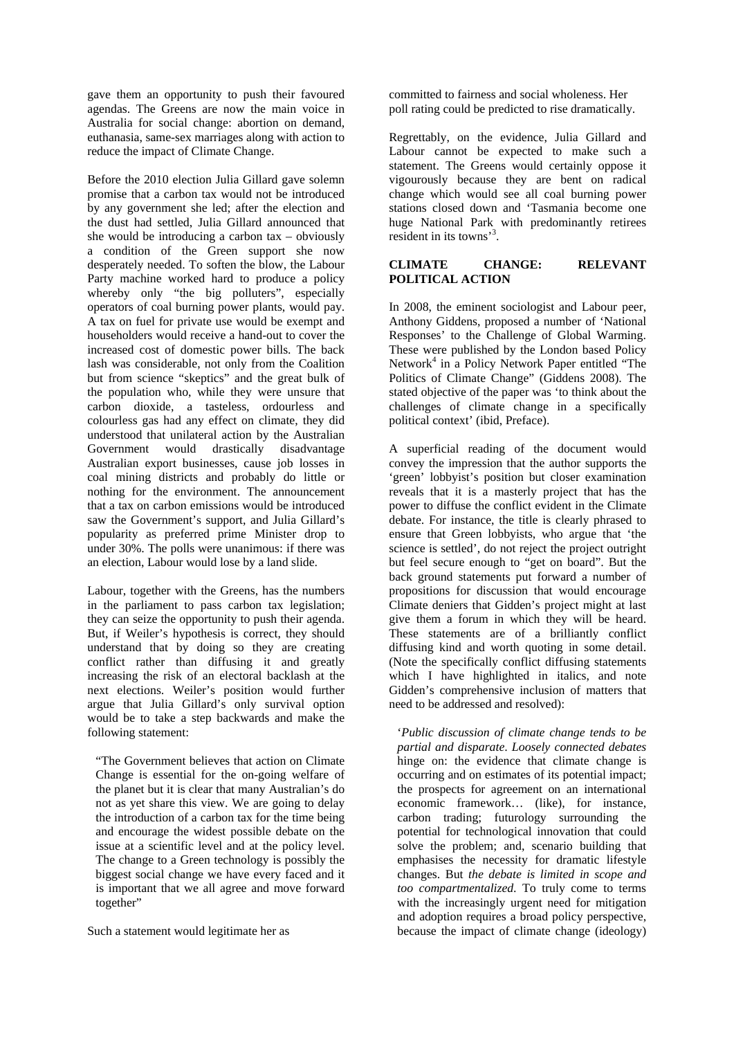gave them an opportunity to push their favoured agendas. The Greens are now the main voice in Australia for social change: abortion on demand, euthanasia, same-sex marriages along with action to reduce the impact of Climate Change.

Before the 2010 election Julia Gillard gave solemn promise that a carbon tax would not be introduced by any government she led; after the election and the dust had settled, Julia Gillard announced that she would be introducing a carbon tax – obviously a condition of the Green support she now desperately needed. To soften the blow, the Labour Party machine worked hard to produce a policy whereby only "the big polluters", especially operators of coal burning power plants, would pay. A tax on fuel for private use would be exempt and householders would receive a hand-out to cover the increased cost of domestic power bills. The back lash was considerable, not only from the Coalition but from science "skeptics" and the great bulk of the population who, while they were unsure that carbon dioxide, a tasteless, ordourless and colourless gas had any effect on climate, they did understood that unilateral action by the Australian Government would drastically disadvantage Australian export businesses, cause job losses in coal mining districts and probably do little or nothing for the environment. The announcement that a tax on carbon emissions would be introduced saw the Government's support, and Julia Gillard's popularity as preferred prime Minister drop to under 30%. The polls were unanimous: if there was an election, Labour would lose by a land slide.

Labour, together with the Greens, has the numbers in the parliament to pass carbon tax legislation; they can seize the opportunity to push their agenda. But, if Weiler's hypothesis is correct, they should understand that by doing so they are creating conflict rather than diffusing it and greatly increasing the risk of an electoral backlash at the next elections. Weiler's position would further argue that Julia Gillard's only survival option would be to take a step backwards and make the following statement:

"The Government believes that action on Climate Change is essential for the on-going welfare of the planet but it is clear that many Australian's do not as yet share this view. We are going to delay the introduction of a carbon tax for the time being and encourage the widest possible debate on the issue at a scientific level and at the policy level. The change to a Green technology is possibly the biggest social change we have every faced and it is important that we all agree and move forward together"

Such a statement would legitimate her as

committed to fairness and social wholeness. Her poll rating could be predicted to rise dramatically.

Regrettably, on the evidence, Julia Gillard and Labour cannot be expected to make such a statement. The Greens would certainly oppose it vigourously because they are bent on radical change which would see all coal burning power stations closed down and 'Tasmania become one huge National Park with predominantly retirees resident in its towns<sup>3</sup>.

#### **CLIMATE CHANGE: RELEVANT POLITICAL ACTION**

In 2008, the eminent sociologist and Labour peer, Anthony Giddens, proposed a number of 'National Responses' to the Challenge of Global Warming. These were published by the London based Policy Network<sup>4</sup> in a Policy Network Paper entitled "The Politics of Climate Change" (Giddens 2008). The stated objective of the paper was 'to think about the challenges of climate change in a specifically political context' (ibid, Preface).

A superficial reading of the document would convey the impression that the author supports the 'green' lobbyist's position but closer examination reveals that it is a masterly project that has the power to diffuse the conflict evident in the Climate debate. For instance, the title is clearly phrased to ensure that Green lobbyists, who argue that 'the science is settled', do not reject the project outright but feel secure enough to "get on board". But the back ground statements put forward a number of propositions for discussion that would encourage Climate deniers that Gidden's project might at last give them a forum in which they will be heard. These statements are of a brilliantly conflict diffusing kind and worth quoting in some detail. (Note the specifically conflict diffusing statements which I have highlighted in italics, and note Gidden's comprehensive inclusion of matters that need to be addressed and resolved):

'*Public discussion of climate change tends to be partial and disparate*. *Loosely connected debates* hinge on: the evidence that climate change is occurring and on estimates of its potential impact; the prospects for agreement on an international economic framework… (like), for instance, carbon trading; futurology surrounding the potential for technological innovation that could solve the problem; and, scenario building that emphasises the necessity for dramatic lifestyle changes. But *the debate is limited in scope and too compartmentalized*. To truly come to terms with the increasingly urgent need for mitigation and adoption requires a broad policy perspective, because the impact of climate change (ideology)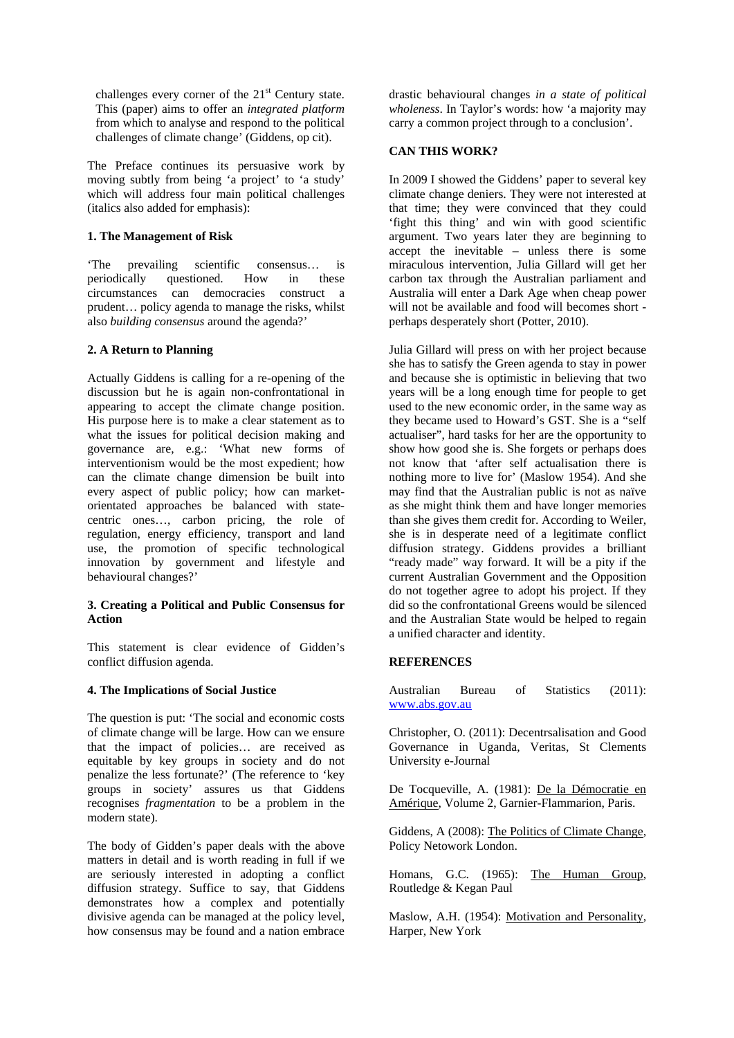challenges every corner of the  $21<sup>st</sup>$  Century state. This (paper) aims to offer an *integrated platform* from which to analyse and respond to the political challenges of climate change' (Giddens, op cit).

The Preface continues its persuasive work by moving subtly from being 'a project' to 'a study' which will address four main political challenges (italics also added for emphasis):

## **1. The Management of Risk**

'The prevailing scientific consensus… is periodically questioned. How in these circumstances can democracies construct a prudent… policy agenda to manage the risks, whilst also *building consensus* around the agenda?'

## **2. A Return to Planning**

Actually Giddens is calling for a re-opening of the discussion but he is again non-confrontational in appearing to accept the climate change position. His purpose here is to make a clear statement as to what the issues for political decision making and governance are, e.g.: 'What new forms of interventionism would be the most expedient; how can the climate change dimension be built into every aspect of public policy; how can marketorientated approaches be balanced with statecentric ones…, carbon pricing, the role of regulation, energy efficiency, transport and land use, the promotion of specific technological innovation by government and lifestyle and behavioural changes?'

## **3. Creating a Political and Public Consensus for Action**

This statement is clear evidence of Gidden's conflict diffusion agenda.

## **4. The Implications of Social Justice**

The question is put: 'The social and economic costs of climate change will be large. How can we ensure that the impact of policies… are received as equitable by key groups in society and do not penalize the less fortunate?' (The reference to 'key groups in society' assures us that Giddens recognises *fragmentation* to be a problem in the modern state).

The body of Gidden's paper deals with the above matters in detail and is worth reading in full if we are seriously interested in adopting a conflict diffusion strategy. Suffice to say, that Giddens demonstrates how a complex and potentially divisive agenda can be managed at the policy level, how consensus may be found and a nation embrace

drastic behavioural changes *in a state of political wholeness*. In Taylor's words: how 'a majority may carry a common project through to a conclusion'.

#### **CAN THIS WORK?**

In 2009 I showed the Giddens' paper to several key climate change deniers. They were not interested at that time; they were convinced that they could 'fight this thing' and win with good scientific argument. Two years later they are beginning to accept the inevitable – unless there is some miraculous intervention, Julia Gillard will get her carbon tax through the Australian parliament and Australia will enter a Dark Age when cheap power will not be available and food will becomes short perhaps desperately short (Potter, 2010).

Julia Gillard will press on with her project because she has to satisfy the Green agenda to stay in power and because she is optimistic in believing that two years will be a long enough time for people to get used to the new economic order, in the same way as they became used to Howard's GST. She is a "self actualiser", hard tasks for her are the opportunity to show how good she is. She forgets or perhaps does not know that 'after self actualisation there is nothing more to live for' (Maslow 1954). And she may find that the Australian public is not as naïve as she might think them and have longer memories than she gives them credit for. According to Weiler, she is in desperate need of a legitimate conflict diffusion strategy. Giddens provides a brilliant "ready made" way forward. It will be a pity if the current Australian Government and the Opposition do not together agree to adopt his project. If they did so the confrontational Greens would be silenced and the Australian State would be helped to regain a unified character and identity.

## **REFERENCES**

Australian Bureau of Statistics (2011): www.abs.gov.au

Christopher, O. (2011): Decentrsalisation and Good Governance in Uganda, Veritas, St Clements University e-Journal

De Tocqueville, A. (1981): De la Démocratie en Amérique, Volume 2, Garnier-Flammarion, Paris.

Giddens, A (2008): The Politics of Climate Change, Policy Netowork London.

Homans, G.C. (1965): The Human Group, Routledge & Kegan Paul

Maslow, A.H. (1954): Motivation and Personality, Harper, New York